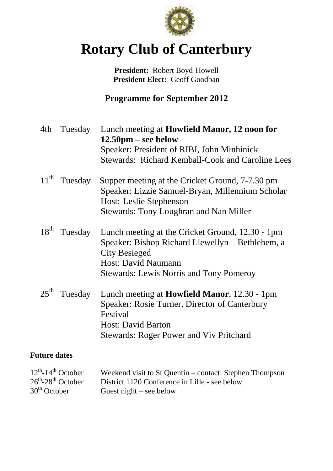

# **Rotary Club of Canterbury**

**President:** Robert Boyd-Howell **President Elect:** Geoff Goodban

**Programme for September 2012**

| 4th                 | Tuesday | Lunch meeting at <b>Howfield Manor</b> , 12 noon for<br>$12.50 \text{pm} - \text{see below}$<br>Speaker: President of RIBI, John Minhinick<br><b>Stewards: Richard Kemball-Cook and Caroline Lees</b>        |
|---------------------|---------|--------------------------------------------------------------------------------------------------------------------------------------------------------------------------------------------------------------|
| $11^{\text{th}}$    | Tuesday | Supper meeting at the Cricket Ground, 7-7.30 pm<br>Speaker: Lizzie Samuel-Bryan, Millennium Scholar<br>Host: Leslie Stephenson<br><b>Stewards: Tony Loughran and Nan Miller</b>                              |
| $18^{th}$           | Tuesday | Lunch meeting at the Cricket Ground, 12.30 - 1pm<br>Speaker: Bishop Richard Llewellyn – Bethlehem, a<br><b>City Besieged</b><br><b>Host: David Naumann</b><br><b>Stewards: Lewis Norris and Tony Pomeroy</b> |
| $25^{\text{th}}$    | Tuesday | Lunch meeting at <b>Howfield Manor</b> , 12.30 - 1pm<br>Speaker: Rosie Turner, Director of Canterbury<br>Festival<br><b>Host: David Barton</b><br><b>Stewards: Roger Power and Viv Pritchard</b>             |
| <b>Future dates</b> |         |                                                                                                                                                                                                              |

| $12^{th}$ -14 <sup>th</sup> October       | Weekend visit to St Quentin – contact: Stephen Thompson |
|-------------------------------------------|---------------------------------------------------------|
| $26^{\text{th}} - 28^{\text{th}}$ October | District 1120 Conference in Lille - see below           |
| $30th$ October                            | Guest night $-$ see below                               |